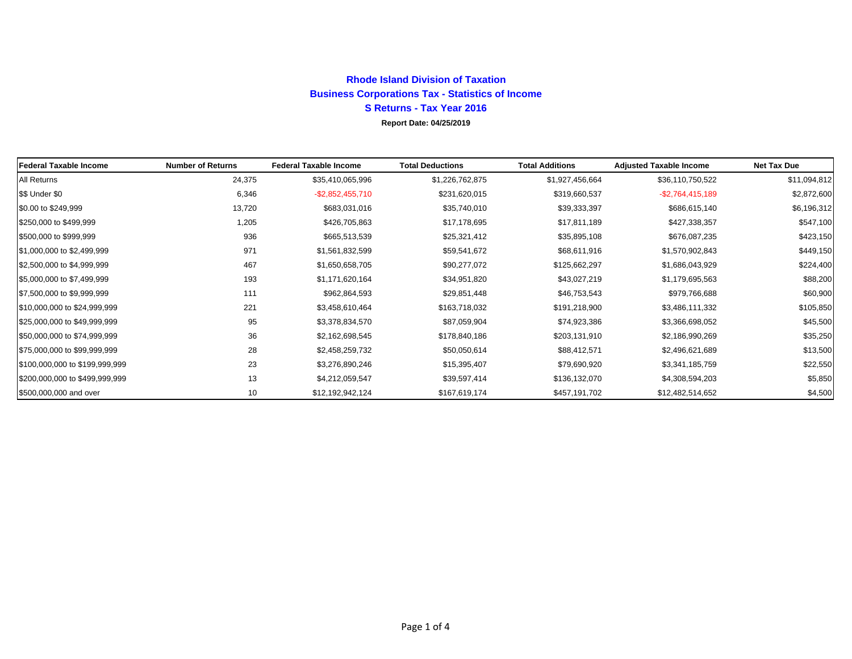## **Rhode Island Division of TaxationBusiness Corporations Tax - Statistics of Income S Returns - Tax Year 2016 Report Date: 04/25/2019**

| <b>Federal Taxable Income</b>  | <b>Number of Returns</b> | <b>Federal Taxable Income</b> | <b>Total Deductions</b> | <b>Total Additions</b> | <b>Adjusted Taxable Income</b> | Net Tax Due  |
|--------------------------------|--------------------------|-------------------------------|-------------------------|------------------------|--------------------------------|--------------|
| All Returns                    | 24,375                   | \$35,410,065,996              | \$1,226,762,875         | \$1,927,456,664        | \$36,110,750,522               | \$11,094,812 |
| \$\$ Under \$0                 | 6,346                    | $-$ \$2,852,455,710           | \$231,620,015           | \$319,660,537          | $-$2,764,415,189$              | \$2,872,600  |
| \$0.00 to \$249,999            | 13,720                   | \$683,031,016                 | \$35,740,010            | \$39,333,397           | \$686,615,140                  | \$6,196,312  |
| \$250,000 to \$499,999         | 1,205                    | \$426,705,863                 | \$17,178,695            | \$17,811,189           | \$427,338,357                  | \$547,100    |
| \$500,000 to \$999,999         | 936                      | \$665,513,539                 | \$25,321,412            | \$35,895,108           | \$676,087,235                  | \$423,150    |
| \$1,000,000 to \$2,499,999     | 971                      | \$1,561,832,599               | \$59,541,672            | \$68,611,916           | \$1,570,902,843                | \$449,150    |
| \$2,500,000 to \$4,999,999     | 467                      | \$1,650,658,705               | \$90,277,072            | \$125,662,297          | \$1,686,043,929                | \$224,400    |
| \$5,000,000 to \$7,499,999     | 193                      | \$1,171,620,164               | \$34,951,820            | \$43,027,219           | \$1,179,695,563                | \$88,200     |
| \$7,500,000 to \$9,999,999     | 111                      | \$962,864,593                 | \$29,851,448            | \$46,753,543           | \$979,766,688                  | \$60,900     |
| \$10,000,000 to \$24,999,999   | 221                      | \$3,458,610,464               | \$163,718,032           | \$191,218,900          | \$3,486,111,332                | \$105,850    |
| \$25,000,000 to \$49,999,999   | 95                       | \$3,378,834,570               | \$87,059,904            | \$74,923,386           | \$3,366,698,052                | \$45,500     |
| \$50,000,000 to \$74,999,999   | 36                       | \$2,162,698,545               | \$178,840,186           | \$203,131,910          | \$2,186,990,269                | \$35,250     |
| \$75,000,000 to \$99,999,999   | 28                       | \$2,458,259,732               | \$50,050,614            | \$88,412,571           | \$2,496,621,689                | \$13,500     |
| \$100,000,000 to \$199,999,999 | 23                       | \$3,276,890,246               | \$15,395,407            | \$79,690,920           | \$3,341,185,759                | \$22,550     |
| \$200,000,000 to \$499,999,999 | 13                       | \$4,212,059,547               | \$39,597,414            | \$136,132,070          | \$4,308,594,203                | \$5,850      |
| \$500,000,000 and over         | 10                       | \$12,192,942,124              | \$167,619,174           | \$457,191,702          | \$12,482,514,652               | \$4,500      |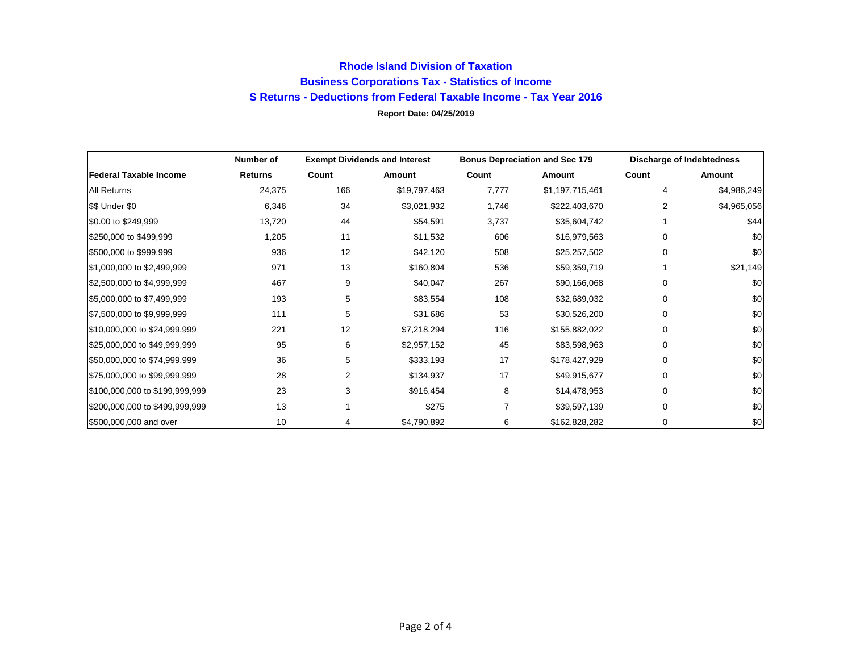## **Rhode Island Division of Taxation Business Corporations Tax - Statistics of Income S Returns - Deductions from Federal Taxable Income - Tax Year 2016 Report Date: 04/25/2019**

|                                | Number of      |       | <b>Exempt Dividends and Interest</b> | <b>Bonus Depreciation and Sec 179</b> |                 | Discharge of Indebtedness |             |
|--------------------------------|----------------|-------|--------------------------------------|---------------------------------------|-----------------|---------------------------|-------------|
| <b>Federal Taxable Income</b>  | <b>Returns</b> | Count | Amount                               | Count                                 | Amount          | Count                     | Amount      |
| All Returns                    | 24,375         | 166   | \$19,797,463                         | 7,777                                 | \$1,197,715,461 | 4                         | \$4,986,249 |
| \$\$ Under \$0                 | 6,346          | 34    | \$3,021,932                          | 1,746                                 | \$222,403,670   | 2                         | \$4,965,056 |
| \$0.00 to \$249,999            | 13,720         | 44    | \$54,591                             | 3,737                                 | \$35,604,742    |                           | \$44        |
| \$250,000 to \$499,999         | 1,205          | 11    | \$11,532                             | 606                                   | \$16,979,563    | $\Omega$                  | \$0         |
| \$500,000 to \$999,999         | 936            | 12    | \$42,120                             | 508                                   | \$25,257,502    | $\Omega$                  | \$0         |
| \$1,000,000 to \$2,499,999     | 971            | 13    | \$160,804                            | 536                                   | \$59,359,719    |                           | \$21,149    |
| \$2,500,000 to \$4,999,999     | 467            | 9     | \$40,047                             | 267                                   | \$90,166,068    | $\Omega$                  | \$0         |
| \$5,000,000 to \$7,499,999     | 193            | 5     | \$83,554                             | 108                                   | \$32,689,032    | $\mathbf 0$               | \$0         |
| \$7,500,000 to \$9,999,999     | 111            | 5     | \$31,686                             | 53                                    | \$30,526,200    | 0                         | \$0         |
| \$10,000,000 to \$24,999,999   | 221            | 12    | \$7,218,294                          | 116                                   | \$155,882,022   | 0                         | \$0         |
| \$25,000,000 to \$49,999,999   | 95             | 6     | \$2,957,152                          | 45                                    | \$83,598,963    | $\Omega$                  | \$0         |
| \$50,000,000 to \$74,999,999   | 36             | 5     | \$333,193                            | 17                                    | \$178,427,929   | $\Omega$                  | \$0         |
| \$75,000,000 to \$99,999,999   | 28             | 2     | \$134,937                            | 17                                    | \$49,915,677    | $\Omega$                  | \$0         |
| \$100,000,000 to \$199,999,999 | 23             | 3     | \$916,454                            | 8                                     | \$14,478,953    | $\Omega$                  | \$0         |
| \$200,000,000 to \$499,999,999 | 13             |       | \$275                                |                                       | \$39,597,139    | $\Omega$                  | \$0         |
| \$500,000,000 and over         | 10             | 4     | \$4,790,892                          | 6                                     | \$162,828,282   | 0                         | \$0         |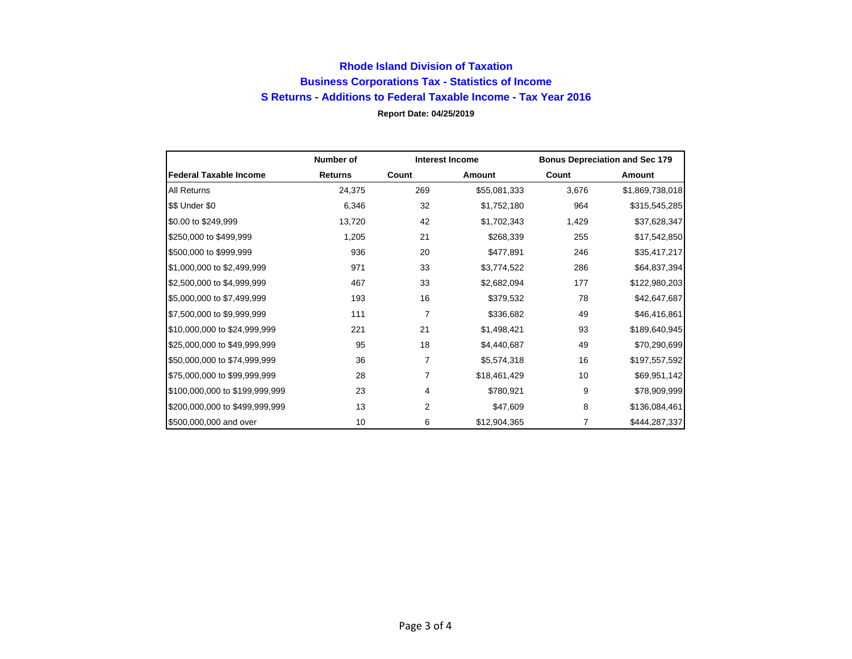## **Rhode Island Division of Taxation Business Corporations Tax - Statistics of Income S Returns - Additions to Federal Taxable Income - Tax Year 2016 Report Date: 04/25/2019**

|                                | Number of      |       | <b>Interest Income</b> |       | <b>Bonus Depreciation and Sec 179</b> |
|--------------------------------|----------------|-------|------------------------|-------|---------------------------------------|
| <b>Federal Taxable Income</b>  | <b>Returns</b> | Count | <b>Amount</b>          | Count | Amount                                |
| All Returns                    | 24,375         | 269   | \$55,081,333           | 3,676 | \$1,869,738,018                       |
| \$\$ Under \$0                 | 6,346          | 32    | \$1,752,180            | 964   | \$315,545,285                         |
| \$0.00 to \$249,999            | 13,720         | 42    | \$1,702,343            | 1,429 | \$37,628,347                          |
| \$250,000 to \$499,999         | 1,205          | 21    | \$268,339              | 255   | \$17,542,850                          |
| \$500,000 to \$999,999         | 936            | 20    | \$477,891              | 246   | \$35,417,217                          |
| \$1,000,000 to \$2,499,999     | 971            | 33    | \$3,774,522            | 286   | \$64,837,394                          |
| \$2,500,000 to \$4,999,999     | 467            | 33    | \$2,682,094            | 177   | \$122,980,203                         |
| \$5,000,000 to \$7,499,999     | 193            | 16    | \$379,532              | 78    | \$42,647,687                          |
| \$7,500,000 to \$9,999,999     | 111            | 7     | \$336,682              | 49    | \$46,416,861                          |
| \$10,000,000 to \$24,999,999   | 221            | 21    | \$1,498,421            | 93    | \$189,640,945                         |
| \$25,000,000 to \$49,999,999   | 95             | 18    | \$4,440,687            | 49    | \$70,290,699                          |
| \$50,000,000 to \$74,999,999   | 36             | 7     | \$5,574,318            | 16    | \$197,557,592                         |
| \$75,000,000 to \$99,999,999   | 28             | 7     | \$18,461,429           | 10    | \$69,951,142                          |
| \$100,000,000 to \$199,999,999 | 23             | 4     | \$780,921              | 9     | \$78,909,999                          |
| \$200,000,000 to \$499,999,999 | 13             | 2     | \$47,609               | 8     | \$136,084,461                         |
| \$500,000,000 and over         | 10             | 6     | \$12,904,365           | 7     | \$444,287,337                         |